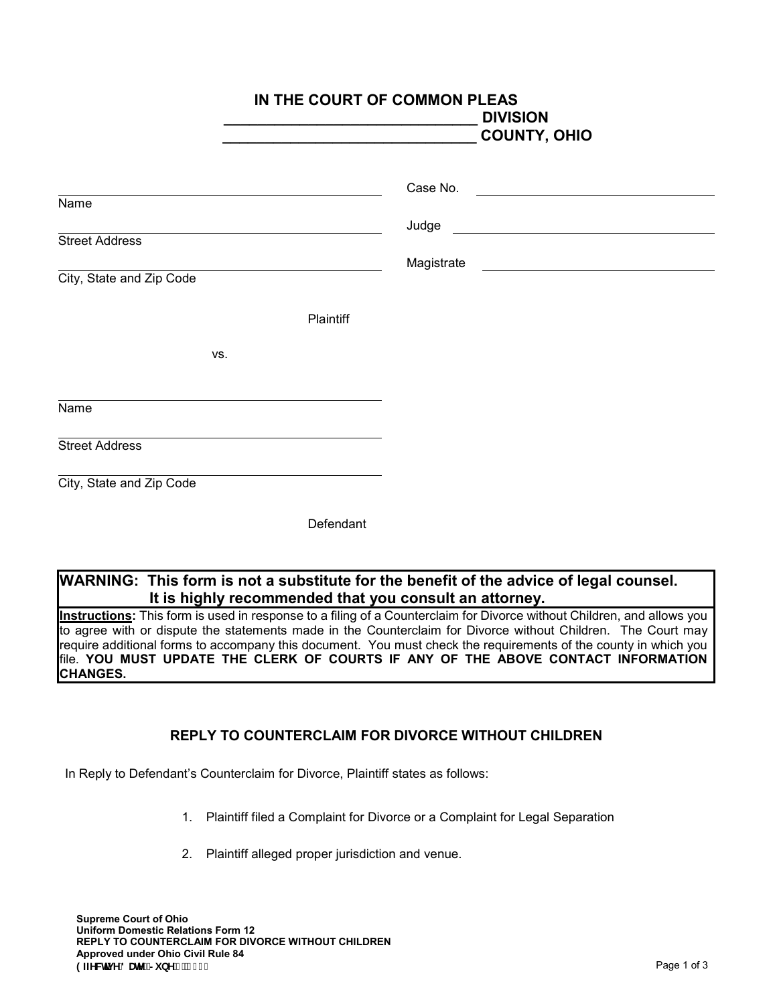|                          |           | IN THE COURT OF COMMON PLEAS<br><b>DIVISION</b><br><b>COUNTY, OHIO</b> |
|--------------------------|-----------|------------------------------------------------------------------------|
| Name                     |           | Case No.<br><u> 1989 - Andrea Station Barbara, amerikan per</u>        |
| <b>Street Address</b>    |           |                                                                        |
| City, State and Zip Code |           | Magistrate Magistrate                                                  |
|                          | Plaintiff |                                                                        |
| VS.                      |           |                                                                        |
| Name                     |           |                                                                        |
| <b>Street Address</b>    |           |                                                                        |
| City, State and Zip Code |           |                                                                        |
|                          | Defendant |                                                                        |

## **WARNING: This form is not a substitute for the benefit of the advice of legal counsel. It is highly recommended that you consult an attorney.**

**Instructions:** This form is used in response to a filing of a Counterclaim for Divorce without Children, and allows you to agree with or dispute the statements made in the Counterclaim for Divorce without Children. The Court may require additional forms to accompany this document. You must check the requirements of the county in which you file. **YOU MUST UPDATE THE CLERK OF COURTS IF ANY OF THE ABOVE CONTACT INFORMATION CHANGES.**

## **REPLY TO COUNTERCLAIM FOR DIVORCE WITHOUT CHILDREN**

In Reply to Defendant's Counterclaim for Divorce, Plaintiff states as follows:

- 1. Plaintiff filed a Complaint for Divorce or a Complaint for Legal Separation
- 2. Plaintiff alleged proper jurisdiction and venue.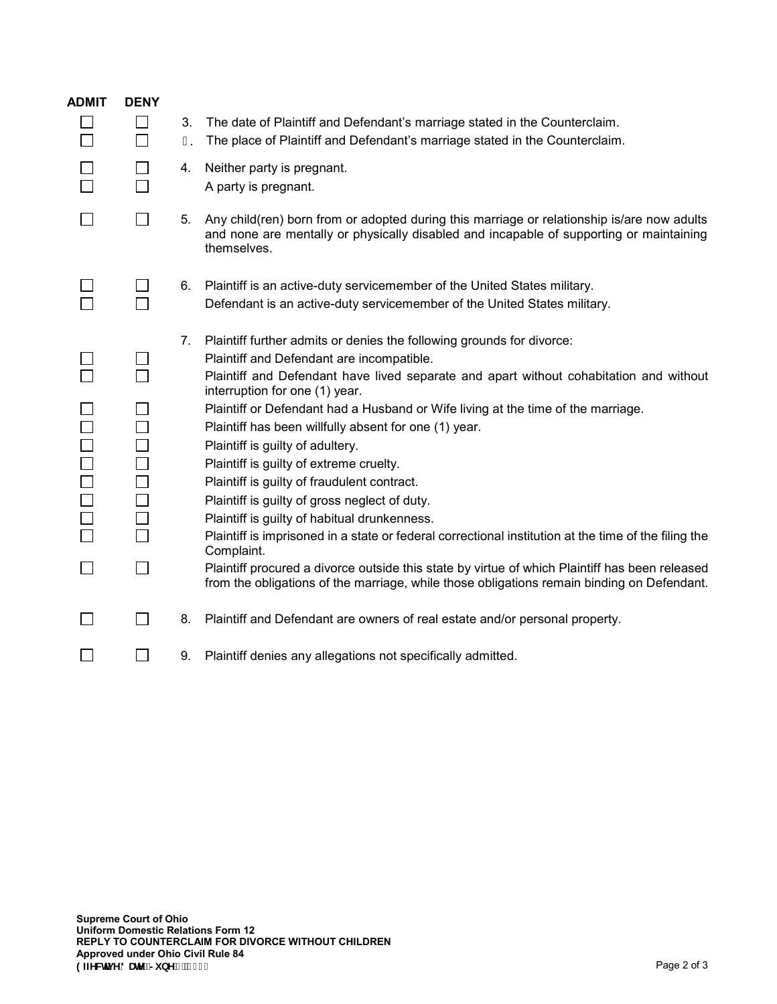| <b>ADMIT</b> | <b>DENY</b>                 |    |                                                                                                                                                                                                      |
|--------------|-----------------------------|----|------------------------------------------------------------------------------------------------------------------------------------------------------------------------------------------------------|
|              |                             | 3. | The date of Plaintiff and Defendant's marriage stated in the Counterclaim.                                                                                                                           |
|              | $\mathsf{L}$                | Ι. | The place of Plaintiff and Defendant's marriage stated in the Counterclaim.                                                                                                                          |
|              |                             | 4. | Neither party is pregnant.                                                                                                                                                                           |
|              |                             |    | A party is pregnant.                                                                                                                                                                                 |
|              | $\sim$                      | 5. | Any child(ren) born from or adopted during this marriage or relationship is/are now adults<br>and none are mentally or physically disabled and incapable of supporting or maintaining<br>themselves. |
|              | $\Box$                      | 6. | Plaintiff is an active-duty servicemember of the United States military.                                                                                                                             |
|              |                             |    | Defendant is an active-duty servicemember of the United States military.                                                                                                                             |
|              |                             | 7. | Plaintiff further admits or denies the following grounds for divorce:                                                                                                                                |
|              |                             |    | Plaintiff and Defendant are incompatible.                                                                                                                                                            |
|              |                             |    | Plaintiff and Defendant have lived separate and apart without cohabitation and without<br>interruption for one (1) year.                                                                             |
|              |                             |    | Plaintiff or Defendant had a Husband or Wife living at the time of the marriage.                                                                                                                     |
|              |                             |    | Plaintiff has been willfully absent for one (1) year.                                                                                                                                                |
| 1000000      |                             |    | Plaintiff is guilty of adultery.                                                                                                                                                                     |
|              | $\mathcal{L}_{\mathcal{A}}$ |    | Plaintiff is guilty of extreme cruelty.                                                                                                                                                              |
|              |                             |    | Plaintiff is guilty of fraudulent contract.                                                                                                                                                          |
|              |                             |    | Plaintiff is guilty of gross neglect of duty.                                                                                                                                                        |
|              |                             |    | Plaintiff is guilty of habitual drunkenness.                                                                                                                                                         |
|              |                             |    | Plaintiff is imprisoned in a state or federal correctional institution at the time of the filing the<br>Complaint.                                                                                   |
|              | $\Box$                      |    | Plaintiff procured a divorce outside this state by virtue of which Plaintiff has been released<br>from the obligations of the marriage, while those obligations remain binding on Defendant.         |
|              | $\sim$                      | 8. | Plaintiff and Defendant are owners of real estate and/or personal property.                                                                                                                          |
|              |                             | 9. | Plaintiff denies any allegations not specifically admitted.                                                                                                                                          |